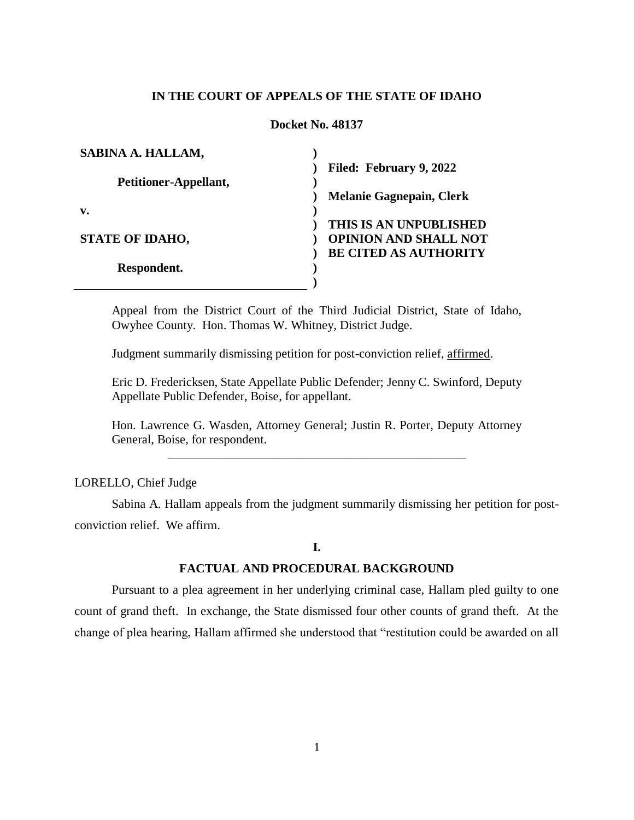## **IN THE COURT OF APPEALS OF THE STATE OF IDAHO**

### **Docket No. 48137**

| SABINA A. HALLAM,      |                                 |
|------------------------|---------------------------------|
|                        | Filed: February 9, 2022         |
| Petitioner-Appellant,  |                                 |
|                        | <b>Melanie Gagnepain, Clerk</b> |
| v.                     |                                 |
|                        | THIS IS AN UNPUBLISHED          |
| <b>STATE OF IDAHO,</b> | <b>OPINION AND SHALL NOT</b>    |
|                        | <b>BE CITED AS AUTHORITY</b>    |
| Respondent.            |                                 |
|                        |                                 |

Appeal from the District Court of the Third Judicial District, State of Idaho, Owyhee County. Hon. Thomas W. Whitney, District Judge.

Judgment summarily dismissing petition for post-conviction relief, affirmed.

Eric D. Fredericksen, State Appellate Public Defender; Jenny C. Swinford, Deputy Appellate Public Defender, Boise, for appellant.

Hon. Lawrence G. Wasden, Attorney General; Justin R. Porter, Deputy Attorney General, Boise, for respondent. \_\_\_\_\_\_\_\_\_\_\_\_\_\_\_\_\_\_\_\_\_\_\_\_\_\_\_\_\_\_\_\_\_\_\_\_\_\_\_\_\_\_\_\_\_\_\_\_

LORELLO, Chief Judge

Sabina A. Hallam appeals from the judgment summarily dismissing her petition for postconviction relief. We affirm.

## **I.**

#### **FACTUAL AND PROCEDURAL BACKGROUND**

Pursuant to a plea agreement in her underlying criminal case, Hallam pled guilty to one count of grand theft. In exchange, the State dismissed four other counts of grand theft. At the change of plea hearing, Hallam affirmed she understood that "restitution could be awarded on all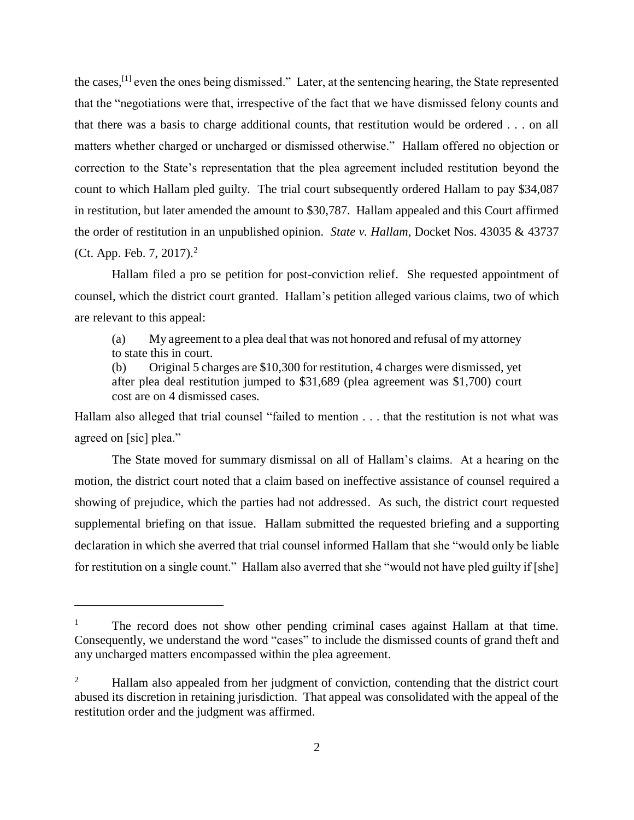the cases,<sup>[1]</sup> even the ones being dismissed." Later, at the sentencing hearing, the State represented that the "negotiations were that, irrespective of the fact that we have dismissed felony counts and that there was a basis to charge additional counts, that restitution would be ordered . . . on all matters whether charged or uncharged or dismissed otherwise." Hallam offered no objection or correction to the State's representation that the plea agreement included restitution beyond the count to which Hallam pled guilty. The trial court subsequently ordered Hallam to pay \$34,087 in restitution, but later amended the amount to \$30,787. Hallam appealed and this Court affirmed the order of restitution in an unpublished opinion. *State v. Hallam*, Docket Nos. 43035 & 43737 (Ct. App. Feb. 7, 2017).<sup>2</sup>

Hallam filed a pro se petition for post-conviction relief. She requested appointment of counsel, which the district court granted. Hallam's petition alleged various claims, two of which are relevant to this appeal:

(a) My agreement to a plea deal that was not honored and refusal of my attorney to state this in court.

(b) Original 5 charges are \$10,300 for restitution, 4 charges were dismissed, yet after plea deal restitution jumped to \$31,689 (plea agreement was \$1,700) court cost are on 4 dismissed cases.

Hallam also alleged that trial counsel "failed to mention . . . that the restitution is not what was agreed on [sic] plea."

The State moved for summary dismissal on all of Hallam's claims. At a hearing on the motion, the district court noted that a claim based on ineffective assistance of counsel required a showing of prejudice, which the parties had not addressed. As such, the district court requested supplemental briefing on that issue. Hallam submitted the requested briefing and a supporting declaration in which she averred that trial counsel informed Hallam that she "would only be liable for restitution on a single count." Hallam also averred that she "would not have pled guilty if [she]

 $\overline{a}$ 

<sup>&</sup>lt;sup>1</sup> The record does not show other pending criminal cases against Hallam at that time. Consequently, we understand the word "cases" to include the dismissed counts of grand theft and any uncharged matters encompassed within the plea agreement.

<sup>&</sup>lt;sup>2</sup> Hallam also appealed from her judgment of conviction, contending that the district court abused its discretion in retaining jurisdiction. That appeal was consolidated with the appeal of the restitution order and the judgment was affirmed.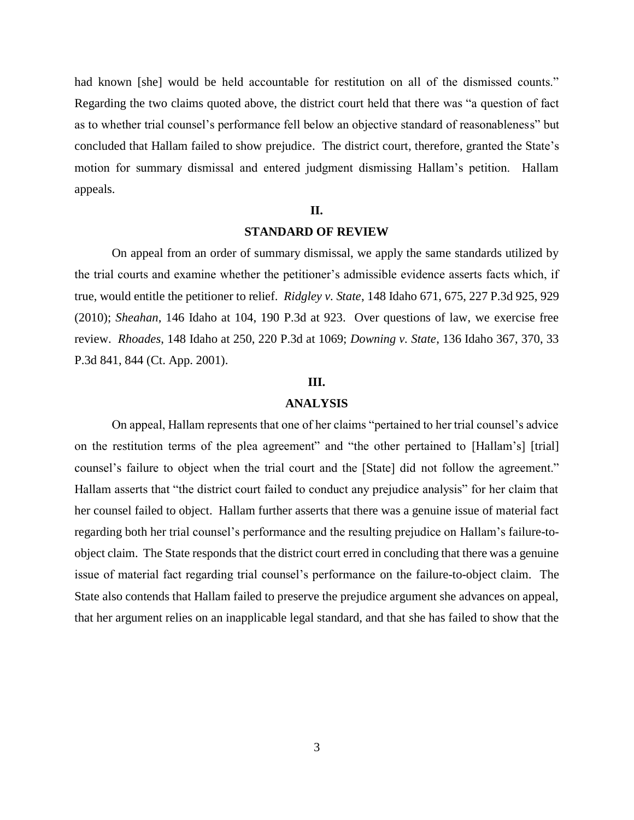had known [she] would be held accountable for restitution on all of the dismissed counts." Regarding the two claims quoted above, the district court held that there was "a question of fact as to whether trial counsel's performance fell below an objective standard of reasonableness" but concluded that Hallam failed to show prejudice. The district court, therefore, granted the State's motion for summary dismissal and entered judgment dismissing Hallam's petition. Hallam appeals.

# **II.**

#### **STANDARD OF REVIEW**

On appeal from an order of summary dismissal, we apply the same standards utilized by the trial courts and examine whether the petitioner's admissible evidence asserts facts which, if true, would entitle the petitioner to relief. *Ridgley v. State*, 148 Idaho 671, 675, 227 P.3d 925, 929 (2010); *Sheahan*, 146 Idaho at 104, 190 P.3d at 923. Over questions of law, we exercise free review. *Rhoades*, 148 Idaho at 250, 220 P.3d at 1069; *Downing v. State*, 136 Idaho 367, 370, 33 P.3d 841, 844 (Ct. App. 2001).

## **III.**

### **ANALYSIS**

On appeal, Hallam represents that one of her claims "pertained to her trial counsel's advice on the restitution terms of the plea agreement" and "the other pertained to [Hallam's] [trial] counsel's failure to object when the trial court and the [State] did not follow the agreement." Hallam asserts that "the district court failed to conduct any prejudice analysis" for her claim that her counsel failed to object. Hallam further asserts that there was a genuine issue of material fact regarding both her trial counsel's performance and the resulting prejudice on Hallam's failure-toobject claim. The State responds that the district court erred in concluding that there was a genuine issue of material fact regarding trial counsel's performance on the failure-to-object claim. The State also contends that Hallam failed to preserve the prejudice argument she advances on appeal, that her argument relies on an inapplicable legal standard, and that she has failed to show that the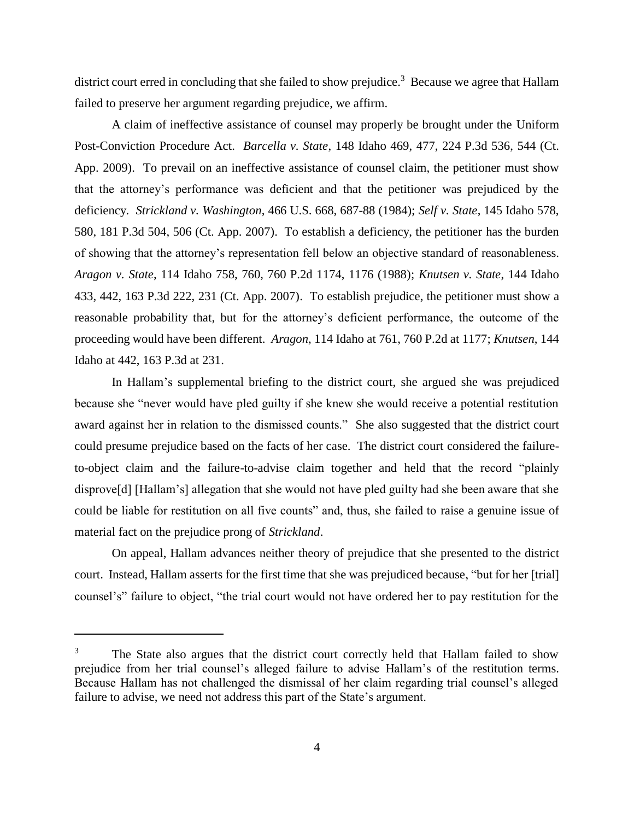district court erred in concluding that she failed to show prejudice.<sup>3</sup> Because we agree that Hallam failed to preserve her argument regarding prejudice, we affirm.

A claim of ineffective assistance of counsel may properly be brought under the Uniform Post-Conviction Procedure Act. *Barcella v. State*, 148 Idaho 469, 477, 224 P.3d 536, 544 (Ct. App. 2009). To prevail on an ineffective assistance of counsel claim, the petitioner must show that the attorney's performance was deficient and that the petitioner was prejudiced by the deficiency. *Strickland v. Washington*, 466 U.S. 668, 687-88 (1984); *Self v. State*, 145 Idaho 578, 580, 181 P.3d 504, 506 (Ct. App. 2007). To establish a deficiency, the petitioner has the burden of showing that the attorney's representation fell below an objective standard of reasonableness. *Aragon v. State*, 114 Idaho 758, 760, 760 P.2d 1174, 1176 (1988); *Knutsen v. State*, 144 Idaho 433, 442, 163 P.3d 222, 231 (Ct. App. 2007). To establish prejudice, the petitioner must show a reasonable probability that, but for the attorney's deficient performance, the outcome of the proceeding would have been different. *Aragon*, 114 Idaho at 761, 760 P.2d at 1177; *Knutsen*, 144 Idaho at 442, 163 P.3d at 231.

In Hallam's supplemental briefing to the district court, she argued she was prejudiced because she "never would have pled guilty if she knew she would receive a potential restitution award against her in relation to the dismissed counts." She also suggested that the district court could presume prejudice based on the facts of her case. The district court considered the failureto-object claim and the failure-to-advise claim together and held that the record "plainly disprove[d] [Hallam's] allegation that she would not have pled guilty had she been aware that she could be liable for restitution on all five counts" and, thus, she failed to raise a genuine issue of material fact on the prejudice prong of *Strickland*.

On appeal, Hallam advances neither theory of prejudice that she presented to the district court. Instead, Hallam asserts for the first time that she was prejudiced because, "but for her [trial] counsel's" failure to object, "the trial court would not have ordered her to pay restitution for the

 $\overline{a}$ 

The State also argues that the district court correctly held that Hallam failed to show prejudice from her trial counsel's alleged failure to advise Hallam's of the restitution terms. Because Hallam has not challenged the dismissal of her claim regarding trial counsel's alleged failure to advise, we need not address this part of the State's argument.